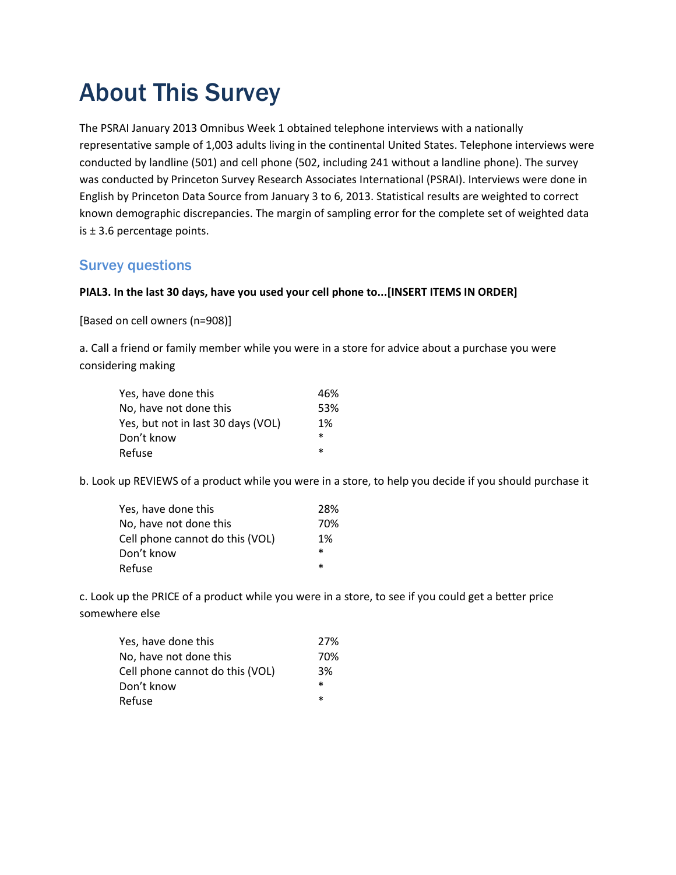## About This Survey

The PSRAI January 2013 Omnibus Week 1 obtained telephone interviews with a nationally representative sample of 1,003 adults living in the continental United States. Telephone interviews were conducted by landline (501) and cell phone (502, including 241 without a landline phone). The survey was conducted by Princeton Survey Research Associates International (PSRAI). Interviews were done in English by Princeton Data Source from January 3 to 6, 2013. Statistical results are weighted to correct known demographic discrepancies. The margin of sampling error for the complete set of weighted data is  $\pm$  3.6 percentage points.

## Survey questions

## **PIAL3. In the last 30 days, have you used your cell phone to...[INSERT ITEMS IN ORDER]**

[Based on cell owners (n=908)]

a. Call a friend or family member while you were in a store for advice about a purchase you were considering making

| Yes, have done this                | 46%    |
|------------------------------------|--------|
| No, have not done this             | 53%    |
| Yes, but not in last 30 days (VOL) | 1%     |
| Don't know                         | $\ast$ |
| Refuse                             | $\ast$ |

b. Look up REVIEWS of a product while you were in a store, to help you decide if you should purchase it

| Yes, have done this             | 28%    |
|---------------------------------|--------|
| No, have not done this          | 70%    |
| Cell phone cannot do this (VOL) | 1%     |
| Don't know                      | $\ast$ |
| Refuse                          | $\ast$ |

c. Look up the PRICE of a product while you were in a store, to see if you could get a better price somewhere else

| Yes, have done this             | 27%    |
|---------------------------------|--------|
| No, have not done this          | 70%    |
| Cell phone cannot do this (VOL) | 3%     |
| Don't know                      | $\ast$ |
| Refuse                          | $\ast$ |